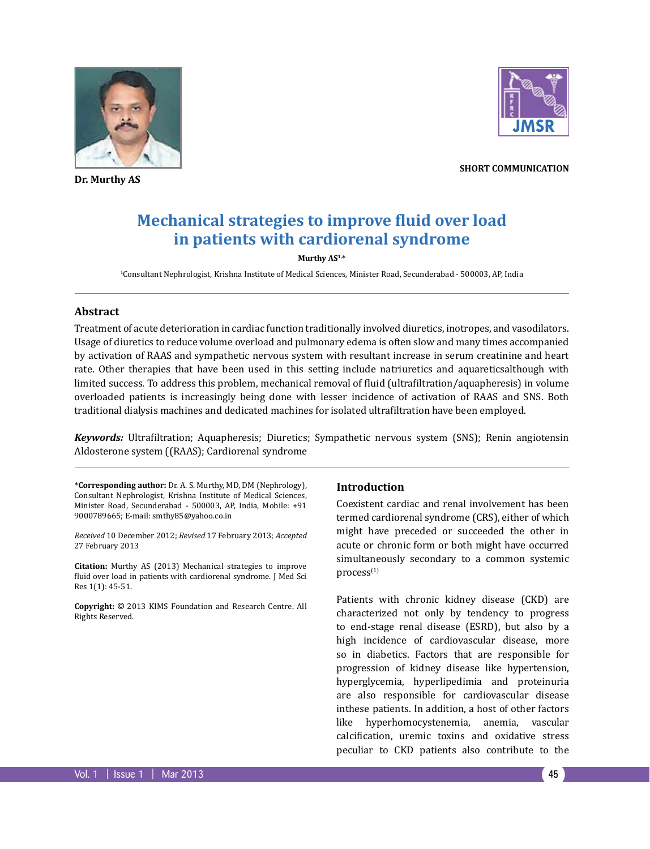

**Dr. Murthy AS**



**short communication**

# **Mechanical strategies to improve fluid over load in patients with cardiorenal syndrome**

#### **Murthy AS1,\***

1 Consultant Nephrologist, Krishna Institute of Medical Sciences, Minister Road, Secunderabad - 500003, AP, India

#### **Abstract**

Treatment of acute deterioration in cardiac function traditionally involved diuretics, inotropes, and vasodilators. Usage of diuretics to reduce volume overload and pulmonary edema is often slow and many times accompanied by activation of RAAS and sympathetic nervous system with resultant increase in serum creatinine and heart rate. Other therapies that have been used in this setting include natriuretics and aquareticsalthough with limited success. To address this problem, mechanical removal of fluid (ultrafiltration/aquapheresis) in volume overloaded patients is increasingly being done with lesser incidence of activation of RAAS and SNS. Both traditional dialysis machines and dedicated machines for isolated ultrafiltration have been employed.

*Keywords:* Ultrafiltration; Aquapheresis; Diuretics; Sympathetic nervous system (SNS); Renin angiotensin Aldosterone system ((RAAS); Cardiorenal syndrome

**\*Corresponding author:** Dr. A. S. Murthy, MD, DM (Nephrology), Consultant Nephrologist, Krishna Institute of Medical Sciences, Minister Road, Secunderabad - 500003, AP, India, Mobile: +91 9000789665; E-mail: smthy85@yahoo.co.in

*Received* 10 December 2012; *Revised* 17 February 2013; *Accepted*  27 February 2013

**Citation:** Murthy AS (2013) Mechanical strategies to improve fluid over load in patients with cardiorenal syndrome. J Med Sci Res 1(1): 45-51.

**Copyright:** © 2013 KIMS Foundation and Research Centre. All Rights Reserved.

## **Introduction**

Coexistent cardiac and renal involvement has been termed cardiorenal syndrome (CRS), either of which might have preceded or succeeded the other in acute or chronic form or both might have occurred simultaneously secondary to a common systemic  $process<sup>(1)</sup>$ 

Patients with chronic kidney disease (CKD) are characterized not only by tendency to progress to end-stage renal disease (ESRD), but also by a high incidence of cardiovascular disease, more so in diabetics. Factors that are responsible for progression of kidney disease like hypertension, hyperglycemia, hyperlipedimia and proteinuria are also responsible for cardiovascular disease inthese patients. In addition, a host of other factors like hyperhomocystenemia, anemia, vascular calcification, uremic toxins and oxidative stress peculiar to CKD patients also contribute to the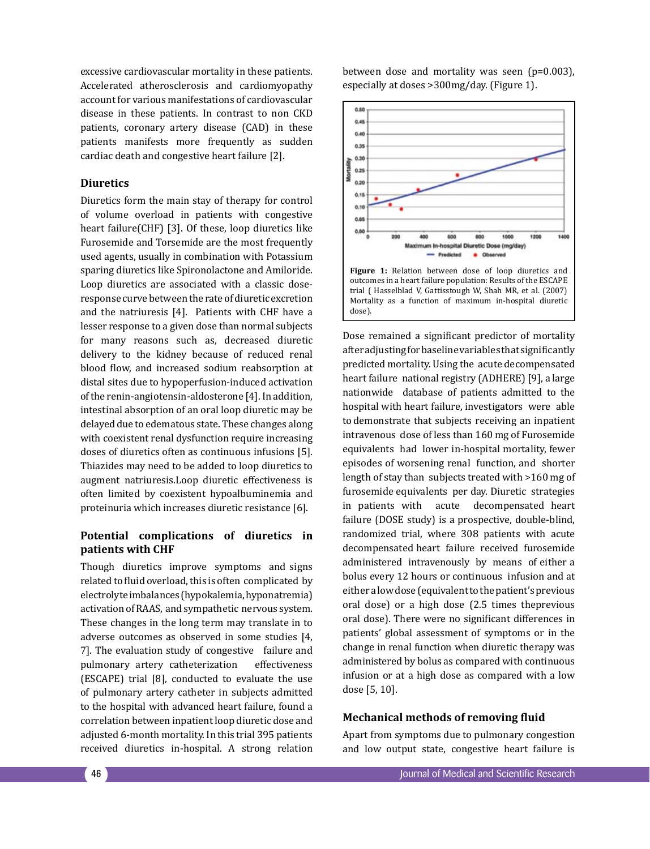excessive cardiovascular mortality in these patients. Accelerated atherosclerosis and cardiomyopathy account for various manifestations of cardiovascular disease in these patients. In contrast to non CKD patients, coronary artery disease (CAD) in these patients manifests more frequently as sudden cardiac death and congestive heart failure [2].

## **Diuretics**

Diuretics form the main stay of therapy for control of volume overload in patients with congestive heart failure(CHF) [3]. Of these, loop diuretics like Furosemide and Torsemide are the most frequently used agents, usually in combination with Potassium sparing diuretics like Spironolactone and Amiloride. Loop diuretics are associated with a classic doseresponse curve between the rate of diuretic excretion and the natriuresis [4]. Patients with CHF have a lesser response to a given dose than normal subjects for many reasons such as, decreased diuretic delivery to the kidney because of reduced renal blood flow, and increased sodium reabsorption at distal sites due to hypoperfusion-induced activation of the renin-angiotensin-aldosterone [4]. In addition, intestinal absorption of an oral loop diuretic may be delayed due to edematous state. These changes along with coexistent renal dysfunction require increasing doses of diuretics often as continuous infusions [5]. Thiazides may need to be added to loop diuretics to augment natriuresis.Loop diuretic effectiveness is often limited by coexistent hypoalbuminemia and proteinuria which increases diuretic resistance [6].

# **Potential complications of diuretics in patients with CHF**

Though diuretics improve symptoms and signs related to fluid overload, this is often complicated by electrolyte imbalances (hypokalemia, hyponatremia) activation of RAAS, and sympathetic nervous system. These changes in the long term may translate in to adverse outcomes as observed in some studies [4, 7]. The evaluation study of congestive failure and pulmonary artery catheterization effectiveness (ESCAPE) trial [8], conducted to evaluate the use of pulmonary artery catheter in subjects admitted to the hospital with advanced heart failure, found a correlation between inpatient loop diuretic dose and adjusted 6-month mortality. In this trial 395 patients received diuretics in-hospital. A strong relation

between dose and mortality was seen (p=0.003), especially at doses >300mg/day. (Figure 1).



Dose remained a significant predictor of mortality after adjusting for baseline variables that significantly predicted mortality. Using the acute decompensated heart failure national registry (ADHERE) [9], a large nationwide database of patients admitted to the hospital with heart failure, investigators were able to demonstrate that subjects receiving an inpatient intravenous dose of less than 160 mg of Furosemide equivalents had lower in-hospital mortality, fewer episodes of worsening renal function, and shorter length of stay than subjects treated with >160 mg of furosemide equivalents per day. Diuretic strategies in patients with acute decompensated heart failure (DOSE study) is a prospective, double-blind, randomized trial, where 308 patients with acute decompensated heart failure received furosemide administered intravenously by means of either a bolus every 12 hours or continuous infusion and at either a low dose (equivalent to the patient's previous oral dose) or a high dose (2.5 times theprevious oral dose). There were no significant differences in patients' global assessment of symptoms or in the change in renal function when diuretic therapy was administered by bolus as compared with continuous infusion or at a high dose as compared with a low dose [5, 10].

#### **Mechanical methods of removing fluid**

Apart from symptoms due to pulmonary congestion and low output state, congestive heart failure is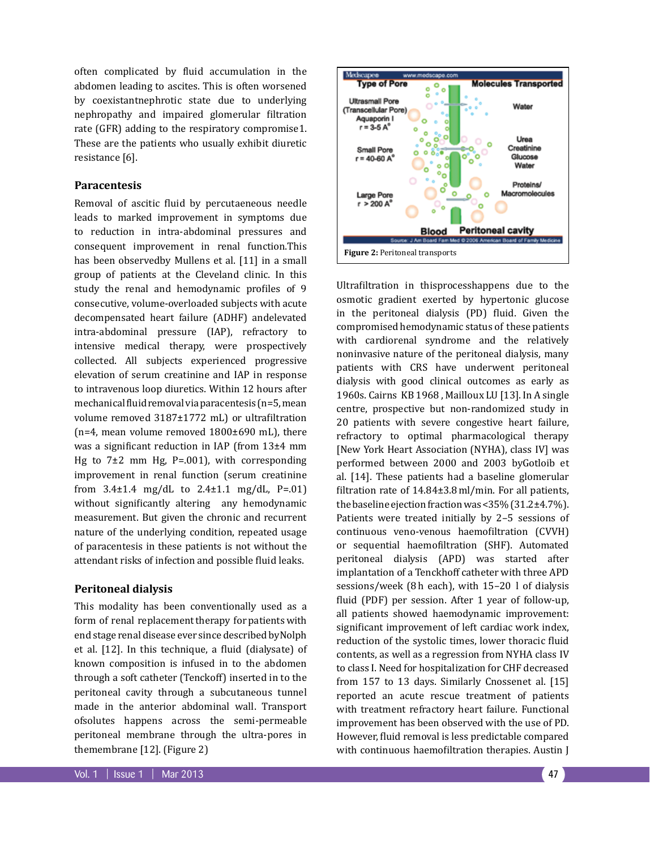often complicated by fluid accumulation in the abdomen leading to ascites. This is often worsened by coexistantnephrotic state due to underlying nephropathy and impaired glomerular filtration rate (GFR) adding to the respiratory compromise1. These are the patients who usually exhibit diuretic resistance [6].

### **Paracentesis**

Removal of ascitic fluid by percutaeneous needle leads to marked improvement in symptoms due to reduction in intra-abdominal pressures and consequent improvement in renal function.This has been observedby Mullens et al. [11] in a small group of patients at the Cleveland clinic. In this study the renal and hemodynamic profiles of 9 consecutive, volume-overloaded subjects with acute decompensated heart failure (ADHF) andelevated intra-abdominal pressure (IAP), refractory to intensive medical therapy, were prospectively collected. All subjects experienced progressive elevation of serum creatinine and IAP in response to intravenous loop diuretics. Within 12 hours after mechanical fluid removal via paracentesis (n=5, mean volume removed 3187±1772 mL) or ultrafiltration (n=4, mean volume removed 1800±690 mL), there was a significant reduction in IAP (from 13±4 mm Hg to  $7\pm2$  mm Hg, P=.001), with corresponding improvement in renal function (serum creatinine from  $3.4 \pm 1.4$  mg/dL to  $2.4 \pm 1.1$  mg/dL, P=.01) without significantly altering any hemodynamic measurement. But given the chronic and recurrent nature of the underlying condition, repeated usage of paracentesis in these patients is not without the attendant risks of infection and possible fluid leaks.

## **Peritoneal dialysis**

This modality has been conventionally used as a form of renal replacement therapy for patients with end stage renal disease ever since described byNolph et al. [12]. In this technique, a fluid (dialysate) of known composition is infused in to the abdomen through a soft catheter (Tenckoff) inserted in to the peritoneal cavity through a subcutaneous tunnel made in the anterior abdominal wall. Transport ofsolutes happens across the semi-permeable peritoneal membrane through the ultra-pores in themembrane [12]. (Figure 2)



Ultrafiltration in thisprocesshappens due to the osmotic gradient exerted by hypertonic glucose in the peritoneal dialysis (PD) fluid. Given the compromised hemodynamic status of these patients with cardiorenal syndrome and the relatively noninvasive nature of the peritoneal dialysis, many patients with CRS have underwent peritoneal dialysis with good clinical outcomes as early as 1960s. Cairns KB 1968 , Mailloux LU [13]. In A single centre, prospective but non-randomized study in 20 patients with severe congestive heart failure, refractory to optimal pharmacological therapy [New York Heart Association (NYHA), class IV] was performed between 2000 and 2003 byGotloib et al. [14]. These patients had a baseline glomerular filtration rate of 14.84±3.8ml/min. For all patients, the baseline ejection fraction was <35% (31.2±4.7%). Patients were treated initially by 2–5 sessions of continuous veno-venous haemofiltration (CVVH) or sequential haemofiltration (SHF). Automated peritoneal dialysis (APD) was started after implantation of a Tenckhoff catheter with three APD sessions/week (8h each), with 15–20 l of dialysis fluid (PDF) per session. After 1 year of follow-up, all patients showed haemodynamic improvement: significant improvement of left cardiac work index, reduction of the systolic times, lower thoracic fluid contents, as well as a regression from NYHA class IV to class I. Need for hospitalization for CHF decreased from 157 to 13 days. Similarly Cnossenet al. [15] reported an acute rescue treatment of patients with treatment refractory heart failure. Functional improvement has been observed with the use of PD. However, fluid removal is less predictable compared with continuous haemofiltration therapies. Austin J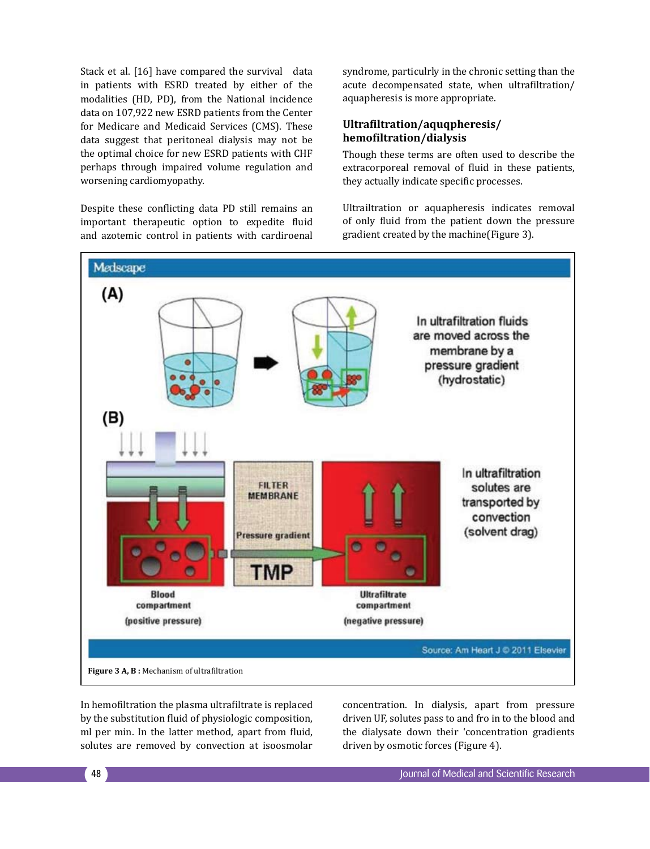Stack et al. [16] have compared the survival data in patients with ESRD treated by either of the modalities (HD, PD), from the National incidence data on 107,922 new ESRD patients from the Center for Medicare and Medicaid Services (CMS). These data suggest that peritoneal dialysis may not be the optimal choice for new ESRD patients with CHF perhaps through impaired volume regulation and worsening cardiomyopathy.

Despite these conflicting data PD still remains an important therapeutic option to expedite fluid and azotemic control in patients with cardiroenal syndrome, particulrly in the chronic setting than the acute decompensated state, when ultrafiltration/ aquapheresis is more appropriate.

# **Ultrafiltration/aquqpheresis/ hemofiltration/dialysis**

Though these terms are often used to describe the extracorporeal removal of fluid in these patients, they actually indicate specific processes.

Ultrailtration or aquapheresis indicates removal of only fluid from the patient down the pressure gradient created by the machine(Figure 3).



In hemofiltration the plasma ultrafiltrate is replaced by the substitution fluid of physiologic composition, ml per min. In the latter method, apart from fluid, solutes are removed by convection at isoosmolar

concentration. In dialysis, apart from pressure driven UF, solutes pass to and fro in to the blood and the dialysate down their 'concentration gradients driven by osmotic forces (Figure 4).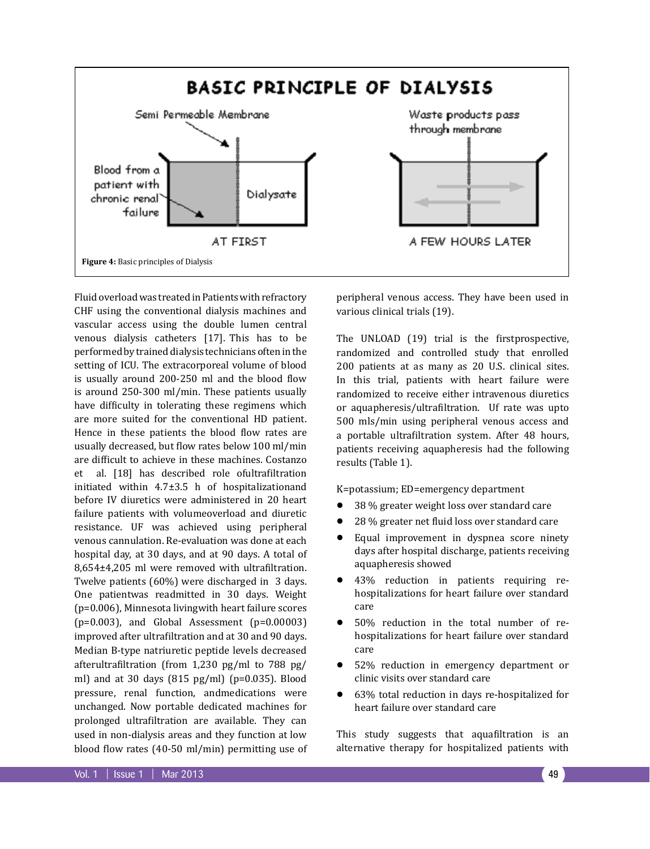

Fluid overload was treated in Patients with refractory CHF using the conventional dialysis machines and vascular access using the double lumen central venous dialysis catheters [17]. This has to be performed by trained dialysis technicians often in the setting of ICU. The extracorporeal volume of blood is usually around 200-250 ml and the blood flow is around 250-300 ml/min. These patients usually have difficulty in tolerating these regimens which are more suited for the conventional HD patient. Hence in these patients the blood flow rates are usually decreased, but flow rates below 100 ml/min are difficult to achieve in these machines. Costanzo al. [18] has described role ofultrafiltration initiated within 4.7±3.5 h of hospitalizationand before IV diuretics were administered in 20 heart failure patients with volumeoverload and diuretic resistance. UF was achieved using peripheral venous cannulation. Re-evaluation was done at each hospital day, at 30 days, and at 90 days. A total of 8,654±4,205 ml were removed with ultrafiltration. Twelve patients (60%) were discharged in 3 days. One patientwas readmitted in 30 days. Weight (p=0.006), Minnesota livingwith heart failure scores  $(p=0.003)$ , and Global Assessment  $(p=0.00003)$ improved after ultrafiltration and at 30 and 90 days. Median B-type natriuretic peptide levels decreased afterultrafiltration (from 1,230 pg/ml to 788 pg/ ml) and at 30 days (815 pg/ml) (p=0.035). Blood pressure, renal function, andmedications were unchanged. Now portable dedicated machines for prolonged ultrafiltration are available. They can used in non-dialysis areas and they function at low blood flow rates (40-50 ml/min) permitting use of

peripheral venous access. They have been used in various clinical trials (19).

The UNLOAD (19) trial is the firstprospective, randomized and controlled study that enrolled 200 patients at as many as 20 U.S. clinical sites. In this trial, patients with heart failure were randomized to receive either intravenous diuretics or aquapheresis/ultrafiltration. Uf rate was upto 500 mls/min using peripheral venous access and a portable ultrafiltration system. After 48 hours, patients receiving aquapheresis had the following results (Table 1).

K=potassium; ED=emergency department

- $\bullet$  38 % greater weight loss over standard care
- 28 % greater net fluid loss over standard care
- Equal improvement in dyspnea score ninety days after hospital discharge, patients receiving aquapheresis showed
- 43% reduction in patients requiring rehospitalizations for heart failure over standard care
- 50% reduction in the total number of rehospitalizations for heart failure over standard care
- 52% reduction in emergency department or clinic visits over standard care
- 63% total reduction in days re-hospitalized for heart failure over standard care

This study suggests that aquafiltration is an alternative therapy for hospitalized patients with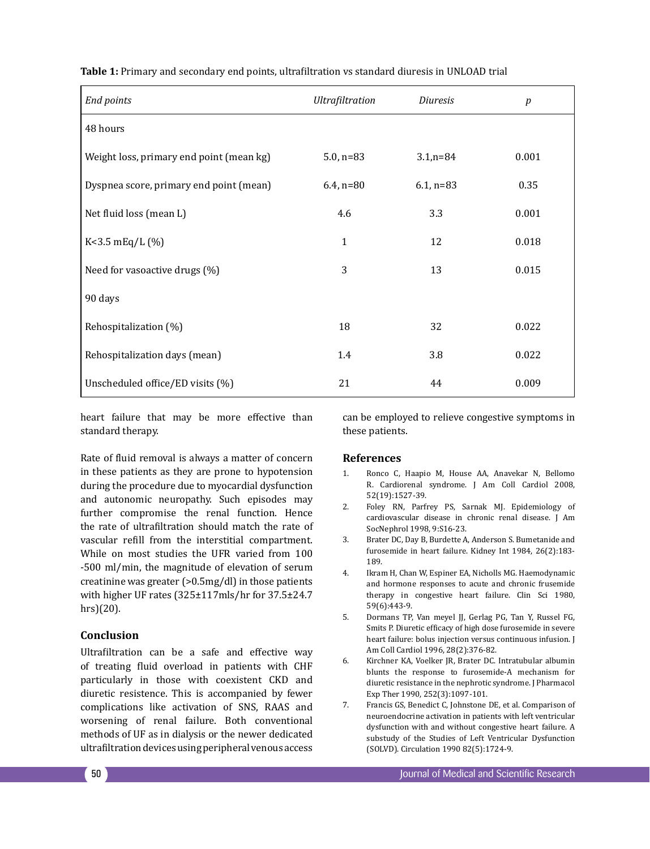| End points                               | Ultrafiltration | Diuresis     | p     |
|------------------------------------------|-----------------|--------------|-------|
| 48 hours                                 |                 |              |       |
| Weight loss, primary end point (mean kg) | $5.0, n=83$     | $3.1,n=84$   | 0.001 |
| Dyspnea score, primary end point (mean)  | $6.4$ , n=80    | $6.1$ , n=83 | 0.35  |
| Net fluid loss (mean L)                  | 4.6             | 3.3          | 0.001 |
| $K<3.5$ mEq/L $(\%)$                     | 1               | 12           | 0.018 |
| Need for vasoactive drugs (%)            | 3               | 13           | 0.015 |
| 90 days                                  |                 |              |       |
| Rehospitalization (%)                    | 18              | 32           | 0.022 |
| Rehospitalization days (mean)            | 1.4             | 3.8          | 0.022 |
| Unscheduled office/ED visits (%)         | 21              | 44           | 0.009 |

**Table 1:** Primary and secondary end points, ultrafiltration vs standard diuresis in UNLOAD trial

heart failure that may be more effective than standard therapy.

Rate of fluid removal is always a matter of concern in these patients as they are prone to hypotension during the procedure due to myocardial dysfunction and autonomic neuropathy. Such episodes may further compromise the renal function. Hence the rate of ultrafiltration should match the rate of vascular refill from the interstitial compartment. While on most studies the UFR varied from 100 -500 ml/min, the magnitude of elevation of serum creatinine was greater (>0.5mg/dl) in those patients with higher UF rates (325±117mls/hr for 37.5±24.7 hrs)(20).

## **Conclusion**

Ultrafiltration can be a safe and effective way of treating fluid overload in patients with CHF particularly in those with coexistent CKD and diuretic resistence. This is accompanied by fewer complications like activation of SNS, RAAS and worsening of renal failure. Both conventional methods of UF as in dialysis or the newer dedicated ultrafiltration devices using peripheral venous access

can be employed to relieve congestive symptoms in these patients.

#### **References**

- 1. Ronco C, Haapio M, House AA, Anavekar N, Bellomo R. Cardiorenal syndrome. J Am Coll Cardiol 2008, 52(19):1527-39.
- 2. Foley RN, Parfrey PS, Sarnak MJ. Epidemiology of cardiovascular disease in chronic renal disease. J Am SocNephrol 1998, 9:S16-23.
- 3. Brater DC, Day B, Burdette A, Anderson S. Bumetanide and furosemide in heart failure. Kidney Int 1984, 26(2):183- 189.
- 4. Ikram H, Chan W, Espiner EA, Nicholls MG. Haemodynamic and hormone responses to acute and chronic frusemide therapy in congestive heart failure. Clin Sci 1980, 59(6):443-9.
- 5. Dormans TP, Van meyel JJ, Gerlag PG, Tan Y, Russel FG, Smits P. Diuretic efficacy of high dose furosemide in severe heart failure: bolus injection versus continuous infusion. J Am Coll Cardiol 1996, 28(2):376-82.
- 6. Kirchner KA, Voelker JR, Brater DC. Intratubular albumin blunts the response to furosemide-A mechanism for diuretic resistance in the nephrotic syndrome. J Pharmacol Exp Ther 1990, 252(3):1097-101.
- 7. Francis GS, Benedict C, Johnstone DE, et al. Comparison of neuroendocrine activation in patients with left ventricular dysfunction with and without congestive heart failure. A substudy of the Studies of Left Ventricular Dysfunction (SOLVD). Circulation 1990 82(5):1724-9.